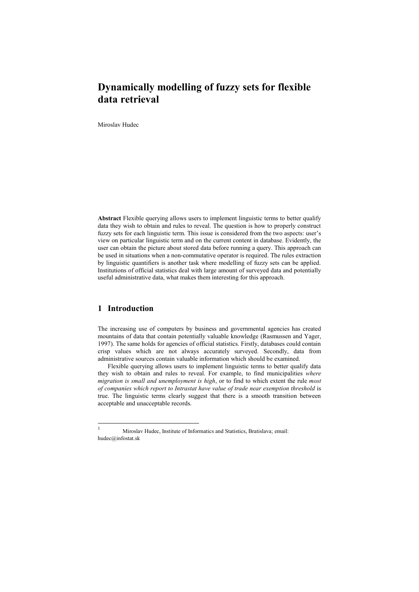# **Dynamically modelling of fuzzy sets for flexible data retrieval**

Miroslav Hudec

**Abstract** Flexible querying allows users to implement linguistic terms to better qualify data they wish to obtain and rules to reveal. The question is how to properly construct fuzzy sets for each linguistic term. This issue is considered from the two aspects: user's view on particular linguistic term and on the current content in database. Evidently, the user can obtain the picture about stored data before running a query. This approach can be used in situations when a non-commutative operator is required. The rules extraction by linguistic quantifiers is another task where modelling of fuzzy sets can be applied. Institutions of official statistics deal with large amount of surveyed data and potentially useful administrative data, what makes them interesting for this approach.

## **1 Introduction**

The increasing use of computers by business and governmental agencies has created mountains of data that contain potentially valuable knowledge (Rasmussen and Yager, 1997). The same holds for agencies of official statistics. Firstly, databases could contain crisp values which are not always accurately surveyed. Secondly, data from administrative sources contain valuable information which should be examined.

Flexible querying allows users to implement linguistic terms to better qualify data they wish to obtain and rules to reveal. For example, to find municipalities *where migration is small and unemployment is high*, or to find to which extent the rule *most of companies which report to Intrastat have value of trade near exemption threshold* is true. The linguistic terms clearly suggest that there is a smooth transition between acceptable and unacceptable records.

<sup>1</sup> Miroslav Hudec, Institute of Informatics and Statistics, Bratislava; email: hudec@infostat.sk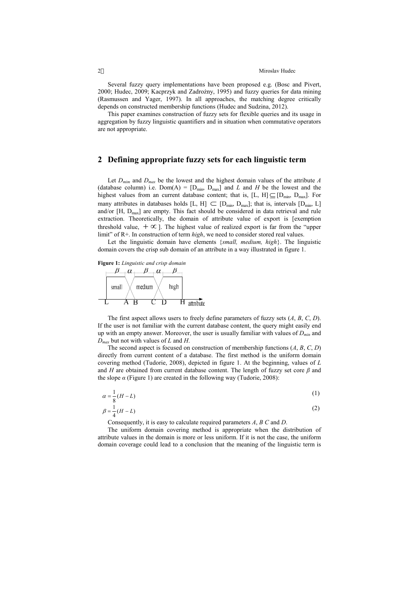Several fuzzy query implementations have been proposed e.g. (Bosc and Pivert, 2000; Hudec, 2009; Kacprzyk and Zadrożny, 1995) and fuzzy queries for data mining (Rasmussen and Yager, 1997). In all approaches, the matching degree critically depends on constructed membership functions (Hudec and Sudzina, 2012).

This paper examines construction of fuzzy sets for flexible queries and its usage in aggregation by fuzzy linguistic quantifiers and in situation when commutative operators are not appropriate.

#### **2 Defining appropriate fuzzy sets for each linguistic term**

Let  $D_{min}$  and  $D_{max}$  be the lowest and the highest domain values of the attribute  $A$ (database column) i.e.  $Dom(A) = [D_{min}, D_{max}]$  and *L* and *H* be the lowest and the highest values from an current database content; that is,  $[L, H] \subseteq [D_{min}, D_{max}]$ . For many attributes in databases holds [L, H]  $\subset$  [D<sub>min</sub>, D<sub>max</sub>]; that is, intervals [D<sub>min</sub>, L] and/or [H, Dmax] are empty. This fact should be considered in data retrieval and rule extraction. Theoretically, the domain of attribute value of export is [exemption threshold value,  $+ \infty$  ]. The highest value of realized export is far from the "upper limit" of R+. In construction of term *high*, we need to consider stored real values.

Let the linguistic domain have elements {*small, medium, high*}. The linguistic domain covers the crisp sub domain of an attribute in a way illustrated in figure 1.



The first aspect allows users to freely define parameters of fuzzy sets (*A*, *B*, *C*, *D*). If the user is not familiar with the current database content, the query might easily end up with an empty answer. Moreover, the user is usually familiar with values of *Dmin* and *Dmax* but not with values of *L* and *H*.

The second aspect is focused on construction of membership functions (*A*, *B*, *C*, *D*) directly from current content of a database. The first method is the uniform domain covering method (Tudorie, 2008), depicted in figure 1. At the beginning, values of *L* and *H* are obtained from current database content. The length of fuzzy set core  $\beta$  and the slope  $\alpha$  (Figure 1) are created in the following way (Tudorie, 2008):

$$
\alpha = \frac{1}{8}(H - L) \tag{1}
$$

$$
\beta = \frac{1}{4}(H - L) \tag{2}
$$

Consequently, it is easy to calculate required parameters *A*, *B C* and *D*.

The uniform domain covering method is appropriate when the distribution of attribute values in the domain is more or less uniform. If it is not the case, the uniform domain coverage could lead to a conclusion that the meaning of the linguistic term is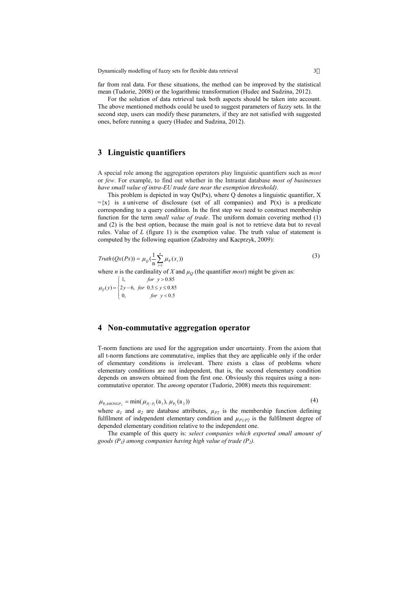far from real data. For these situations, the method can be improved by the statistical mean (Tudorie, 2008) or the logarithmic transformation (Hudec and Sudzina, 2012).

For the solution of data retrieval task both aspects should be taken into account. The above mentioned methods could be used to suggest parameters of fuzzy sets. In the second step, users can modify these parameters, if they are not satisfied with suggested ones, before running a query (Hudec and Sudzina, 2012).

### **3 Linguistic quantifiers**

A special role among the aggregation operators play linguistic quantifiers such as *most* or *few*. For example, to find out whether in the Intrastat database *most of businesses have small value of intra-EU trade (are near the exemption threshold)*.

This problem is depicted in way  $Qx(Px)$ , where  $Q$  denotes a linguistic quantifier,  $X$  $=\{x\}$  is a universe of disclosure (set of all companies) and P(x) is a predicate corresponding to a query condition. In the first step we need to construct membership function for the term *small value of trade*. The uniform domain covering method (1) and (2) is the best option, because the main goal is not to retrieve data but to reveal rules. Value of *L* (figure 1) is the exemption value. The truth value of statement is computed by the following equation (Zadrożny and Kacprzyk, 2009):

$$
Truth(Qx(Px)) = \mu_Q\left(\frac{1}{n}\sum_{i=1}^n \mu_P(x_i)\right)
$$
\n(3)

where *n* is the cardinality of *X* and  $\mu$ <sup>0</sup> (the quantifier *most*) might be given as:

0, for  $y < 0.5$  $(y) = \{2y - 6, for 0.5 \le y \le 0.85$  $\int 1$ , *for*  $y > 0.85$  $\overline{\mathcal{L}}$ ļ  $\prec$  $=\begin{cases} 2y-6, & \text{for } 0.5 \leq y \leq \end{cases}$ *for y*  $\mu_Q(y) = \{2y - 6, \text{ for } 0.5 \leq y\}$ 

### **4 Non-commutative aggregation operator**

T-norm functions are used for the aggregation under uncertainty. From the axiom that all t-norm functions are commutative, implies that they are applicable only if the order of elementary conditions is irrelevant. There exists a class of problems where elementary conditions are not independent, that is, the second elementary condition depends on answers obtained from the first one. Obviously this requires using a noncommutative operator. The *among* operator (Tudorie, 2008) meets this requirement:

$$
\mu_{P_1AMONGP_2} = \min(\mu_{P_1/P_2}(a_1), \mu_{P_2}(a_2))
$$
\n(4)

where  $a_1$  and  $a_2$  are database attributes,  $\mu_{P2}$  is the membership function defining fulfilment of independent elementary condition and  $\mu_{PI/P2}$  is the fulfilment degree of depended elementary condition relative to the independent one.

The example of this query is: *select companies which exported small amount of goods (P<sup>1</sup> ) among companies having high value of trade (P<sup>2</sup> ).*